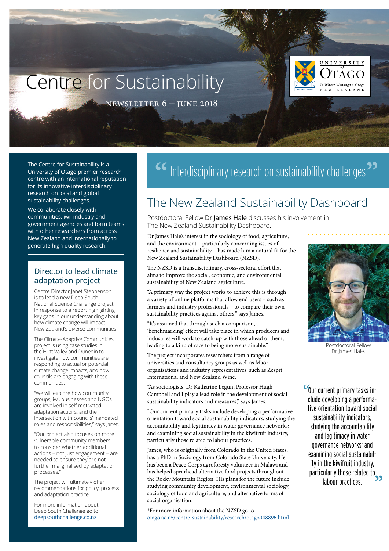# Centre for Sustainability



newsletter 6 – june 2018

The Centre for Sustainability is a University of Otago premier research centre with an international reputation for its innovative interdisciplinary research on local and global sustainability challenges.

We collaborate closely with communities, iwi, industry and government agencies and form teams with other researchers from across New Zealand and internationally to generate high-quality research.

#### Director to lead climate adaptation project

Centre Director Janet Stephenson is to lead a new Deep South National Science Challenge project in response to a report highlighting key gaps in our understanding about how climate change will impact New Zealand's diverse communities.

The Climate-Adaptive Communities project is using case studies in the Hutt Valley and Dunedin to investigate how communities are responding to actual or potential climate change impacts, and how councils are engaging with these communities.

"We will explore how community groups, iwi, businesses and NGOs are involved in self-motivated adaptation actions, and the intersection with councils' mandated roles and responsibilities," says Janet.

"Our project also focuses on more vulnerable community members to consider whether additional actions – not just engagement – are needed to ensure they are not further marginalised by adaptation processes."

The project will ultimately offer recommendations for policy, process and adaptation practice.

For more information about Deep South Challenge go to [deepsouthchallenge.co.nz](http://www.deepsouthchallenge.co.nz/)

## <sup>66</sup> Interdisciplinary research on sustainability challenges<sup>>></sup>

## The New Zealand Sustainability Dashboard

Postdoctoral Fellow Dr James Hale discusses his involvement in The New Zealand Sustainability Dashboard.

Dr James Hale's interest in the sociology of food, agriculture, and the environment – particularly concerning issues of resilience and sustainability – has made him a natural fit for the New Zealand Sustainability Dashboard (NZSD).

The NZSD is a transdisciplinary, cross-sectoral effort that aims to improve the social, economic, and environmental sustainability of New Zealand agriculture.

"A primary way the project works to achieve this is through a variety of online platforms that allow end users – such as farmers and industry professionals – to compare their own sustainability practices against others," says James.

"It's assumed that through such a comparison, a 'benchmarking' effect will take place in which producers and industries will work to catch-up with those ahead of them, leading to a kind of race to being more sustainable."

The project incorporates researchers from a range of universities and consultancy groups as well as Māori organisations and industry representatives, such as Zespri International and New Zealand Wine.

"As sociologists, Dr Katharine Legun, Professor Hugh Campbell and I play a lead role in the development of social sustainability indicators and measures," says James.

"Our current primary tasks include developing a performative orientation toward social sustainability indicators, studying the accountability and legitimacy in water governance networks; and examining social sustainability in the kiwifruit industry, particularly those related to labour practices.

James, who is originally from Colorado in the United States, has a PhD in Sociology from Colorado State University. He has been a Peace Corps agroforesty volunteer in Malawi and has helped spearhead alternative food projects throughout the Rocky Mountain Region. His plans for the future include studying community development, environmental sociology, sociology of food and agriculture, and alternative forms of social organisation.

\*For more information about the NZSD go to [otago.ac.nz/centre-sustainability/research/otago048896.html](http://www.otago.ac.nz/centre-sustainability/research/otago048896.html)



Postdoctoral Fellow Dr James Hale.

**Sour current primary tasks in-**<br>clude developing a performaclude developing a performative orientation toward social sustainability indicators, studying the accountability and legitimacy in water governance networks; and examining social sustainability in the kiwifruit industry, particularly those related to labour practices. **"**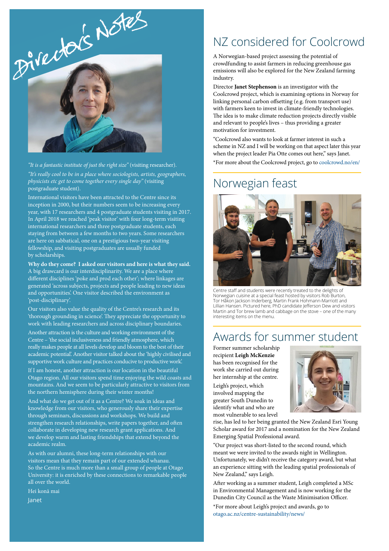

*"It is a fantastic institute of just the right size"* (visiting researcher).

*"It's really cool to be in a place where sociologists, artists, geographers, physicists etc get to come together every single day"* (visiting postgraduate student).

International visitors have been attracted to the Centre since its inception in 2000, but their numbers seem to be increasing every year, with 17 researchers and 4 postgraduate students visiting in 2017. In April 2018 we reached 'peak visitor' with four long-term visiting international researchers and three postgraduate students, each staying from between a few months to two years. Some researchers are here on sabbatical, one on a prestigious two-year visiting fellowship, and visiting postgraduates are usually funded by scholarships.

**Why do they come? I asked our visitors and here is what they said.** A big drawcard is our interdisciplinarity. We are a place where different disciplines 'poke and prod each other'; where linkages are generated 'across subjects, projects and people leading to new ideas and opportunities'. One visitor described the environment as 'post-disciplinary'.

Our visitors also value the quality of the Centre's research and its 'thorough grounding in science'. They appreciate the opportunity to work with leading researchers and across disciplinary boundaries.

Another attraction is the culture and working environment of the Centre – 'the social inclusiveness and friendly atmosphere, which really makes people at all levels develop and bloom to the best of their academic potential'. Another visitor talked about the 'highly civilised and supportive work culture and practices conducive to productive work'.

If I am honest, another attraction is our location in the beautiful Otago region. All our visitors spend time enjoying the wild coasts and mountains. And we seem to be particularly attractive to visitors from the northern hemisphere during their winter months!

And what do we get out of it as a Centre? We soak in ideas and knowledge from our visitors, who generously share their expertise through seminars, discussions and workshops. We build and strengthen research relationships, write papers together, and often collaborate in developing new research grant applications. And we develop warm and lasting friendships that extend beyond the academic realm.

As with our alumni, these long-term relationships with our visitors mean that they remain part of our extended whanau. So the Centre is much more than a small group of people at Otago University: it is enriched by these connections to remarkable people all over the world.

Hei konā mai

Janet

### NZ considered for Coolcrowd

A Norwegian-based project assessing the potential of crowdfunding to assist farmers in reducing greenhouse gas emissions will also be explored for the New Zealand farming industry.

Director **Janet Stephenson** is an investigator with the Coolcrowd project, which is examining options in Norway for linking personal carbon offsetting (e.g. from transport use) with farmers keen to invest in climate-friendly technologies. The idea is to make climate reduction projects directly visible and relevant to people's lives – thus providing a greater motivation for investment.

"Coolcrowd also wants to look at farmer interest in such a scheme in NZ and I will be working on that aspect later this year when the project leader Pia Otte comes out here," says Janet.

\*For more about the Coolcrowd project, go to [coolcrowd.no/en/](https://coolcrowd.no/en/)

### Norwegian feast



Centre staff and students were recently treated to the delights of Norwegian cuisine at a special feast hosted by visitors Rob Burton, Tor Håkon Jackson Inderberg, Martin Frank Hohmann-Marriott and Lillian Hansen. Pictured here, PhD candidate Jefferson Dew and visitors Martin and Tor brew lamb and cabbage on the stove – one of the many interesting items on the menu.

#### Awards for summer student

Former summer scholarship recipient **Leigh McKenzie** has been recognised for the work she carried out during her internship at the centre.

Leigh's project, which involved mapping the greater South Dunedin to identify what and who are most vulnerable to sea level



rise, has led to her being granted the New Zealand Esri Young Scholar award for 2017 and a nomination for the New Zealand Emerging Spatial Professional award.

"Our project was short-listed to the second round, which meant we were invited to the awards night in Wellington. Unfortunately, we didn't receive the category award, but what an experience sitting with the leading spatial professionals of New Zealand," says Leigh.

After working as a summer student, Leigh completed a MSc in Environmental Management and is now working for the Dunedin City Council as the Waste Minimisation Officer.

\*For more about Leigh's project and awards, go to [otago.ac.nz/centre-sustainability/news/](https://www.otago.ac.nz/centre-sustainability/news/)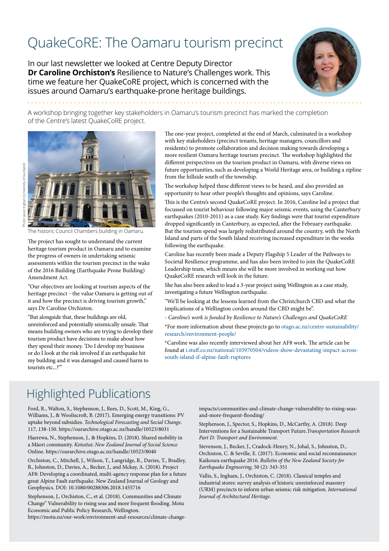## QuakeCoRE: The Oamaru tourism precinct

In our last newsletter we looked at Centre Deputy Director **Dr Caroline Orchiston's** Resilience to Nature's Challenges work. This time we feature her QuakeCoRE project, which is concerned with the issues around Oamaru's earthquake-prone heritage buildings.



A workshop bringing together key stakeholders in Oamaru's tourism precinct has marked the completion of the Centre's latest QuakeCoRE project.



Photo: Jason Ingham (University of Auckland)

The historic Council Chambers building in Oamaru.

The project has sought to understand the current heritage tourism product in Oamaru and to examine the progress of owners in undertaking seismic assessments within the tourism precinct in the wake of the 2016 Building (Earthquake Prone Building) Amendment Act.

"Our objectives are looking at tourism aspects of the heritage precinct – the value Oamaru is getting out of it and how the precinct is driving tourism growth," says Dr Caroline Orchiston.

"But alongside that, these buildings are old, unreinforced and potentially seismically unsafe. That means building owners who are trying to develop their tourism product have decisions to make about how they spend their money. 'Do I develop my business or do I look at the risk involved if an earthquake hit my building and it was damaged and caused harm to tourists etc...?'"

The one-year project, completed at the end of March, culminated in a workshop with key stakeholders (precinct tenants, heritage managers, councillors and residents) to promote collaboration and decision making towards developing a more resilient Oamaru heritage tourism precinct. The workshop highlighted the different perspectives on the tourism product in Oamaru, with diverse views on future opportunities, such as developing a World Heritage area, or building a zipline from the hillside south of the township.

The workshop helped these different views to be heard, and also provided an opportunity to hear other people's thoughts and opinions, says Caroline.

This is the Centre's second QuakeCoRE project. In 2016, Caroline led a project that focussed on tourist behaviour following major seismic events, using the Canterbury earthquakes (2010-2011) as a case study. Key findings were that tourist expenditure dropped significantly in Canterbury, as expected, after the February earthquake. But the tourism spend was largely redistributed around the country, with the North Island and parts of the South Island receiving increased expenditure in the weeks following the earthquake.

Caroline has recently been made a Deputy Flagship 5 Leader of the Pathways to Societal Resilience programme, and has also been invited to join the QuakeCoRE Leadership team, which means she will be more involved in working out how QuakeCoRE research will look in the future.

She has also been asked to lead a 3-year project using Wellington as a case study, investigating a future Wellington earthquake.

"We'll be looking at the lessons learned from the Christchurch CBD and what the implications of a Wellington cordon around the CBD might be".

*- Caroline's work is funded by Resilience to Nature's Challenges and QuakeCoRE*

\*For more information about these projects go to [otago.ac.nz/centre-sustainability/](http://www.otago.ac.nz/centre-sustainability/research/environment-people/) [research/environment-people/](http://www.otago.ac.nz/centre-sustainability/research/environment-people/)

\*Caroline was also recently interviewed about her AF8 work. The article can be found at [i.stuff.co.nz/national/103970504/videos-show-devastating-impact-across](https://i.stuff.co.nz/national/103970504/videos-show-devastating-impact-across-south-island-if-alpine-fault-ruptures)[south-island-if-alpine-fault-ruptures](https://i.stuff.co.nz/national/103970504/videos-show-devastating-impact-across-south-island-if-alpine-fault-ruptures)

### Highlighted Publications

Ford, R., Walton, S., Stephenson, J., Rees, D., Scott, M., King, G., Williams, J., & Wooliscroft, B. (2017). Emerging energy transitions: PV uptake beyond subsidies. *Technological Forecasting and Social Change*. 117, 138-150. https://ourarchive.otago.ac.nz/handle/10523/8031

Haerewa, N., Stephenson, J., & Hopkins, D. (2018). Shared mobility in a Māori community. *Kotuitui: New Zealand Journal of Social Science*  Online. https://ourarchive.otago.ac.nz/handle/10523/8040

Orchiston, C., Mitchell, J., Wilson, T., Langridge, R., Davies, T., Bradley, B., Johnston, D., Davies, A., Becker, J., and Mckay, A. (2018). Project AF8: Developing a coordinated, multi-agency response plan for a future great Alpine Fault earthquake. New Zealand Journal of Geology and Geophysics. DOI: 10.1080/00288306.2018.1455716

Stephenson, J., Orchiston, C., et al. (2018). Communities and Climate Change" Vulnerability to rising seas and more frequent flooding. Motu Economic and Public Policy Research, Wellington.

https://motu.nz/our-work/environment-and-resources/climate-change-

impacts/communities-and-climate-change-vulnerability-to-rising-seasand-more-frequent-flooding/

Stephenson, J., Spector, S., Hopkins, D., McCarthy, A. (2018). Deep Interventions for a Sustainable Transport Future.*Transportation Research Part D: Transport and Environment*.

Stevenson, J., Becker, J., Cradock-Henry, N., Johal, S., Johnston, D., Orchiston, C. & Seville, E. (2017). Economic and social reconnaissance: Kaikoura earthquake 2016. *Bulletin of the New Zealand Society for Earthquake Engineering*, 50 (2): 343-351

Vallis, S., Ingham, J., Orchiston, C. (2018). Classical temples and industrial stores: survey analysis of historic unreinforced masonry (URM) precincts to inform urban seismic risk mitigation. *International Journal of Architectural Heritage*.